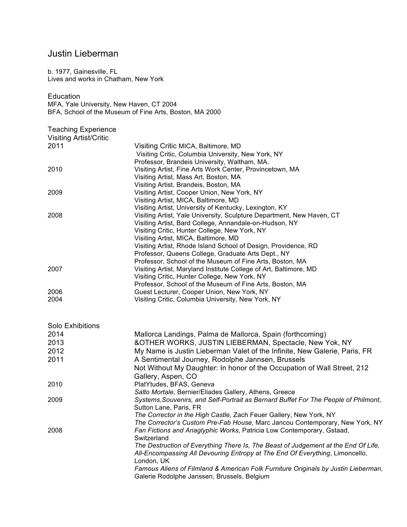## Justin Lieberman

b. 1977, Gainesville, FL Lives and works in Chatham, New York

**Education** 

MFA, Yale University, New Haven, CT 2004 BFA, School of the Museum of Fine Arts, Boston, MA 2000

Teaching Experience

| <b>Visiting Artist/Critic</b> |                                                                                       |
|-------------------------------|---------------------------------------------------------------------------------------|
| 2011                          | Visiting Critic MICA, Baltimore, MD                                                   |
|                               | Visiting Critic, Columbia University, New York, NY                                    |
|                               | Professor, Brandeis University, Waltham, MA.                                          |
| 2010                          | Visiting Artist, Fine Arts Work Center, Provincetown, MA                              |
|                               | Visiting Artist, Mass Art, Boston, MA                                                 |
|                               | Visiting Artist, Brandeis, Boston, MA                                                 |
| 2009                          | Visiting Artist, Cooper Union, New York, NY                                           |
|                               | Visiting Artist, MICA, Baltimore, MD                                                  |
|                               | Visiting Artist, University of Kentucky, Lexington, KY                                |
| 2008                          | Visiting Artist, Yale University, Sculpture Department, New Haven, CT                 |
|                               | Visiting Artist, Bard College, Annandale-on-Hudson, NY                                |
|                               | Visiting Critic, Hunter College, New York, NY<br>Visiting Artist, MICA, Baltimore, MD |
|                               | Visiting Artist, Rhode Island School of Design, Providence, RD                        |
|                               | Professor, Queens College, Graduate Arts Dept., NY                                    |
|                               | Professor, School of the Museum of Fine Arts, Boston, MA                              |
| 2007                          | Visiting Artist, Maryland Institute College of Art, Baltimore, MD                     |
|                               | Visiting Critic, Hunter College, New York, NY                                         |
|                               | Professor, School of the Museum of Fine Arts, Boston, MA                              |
| 2006                          | Guest Lecturer, Cooper Union, New York, NY                                            |
| 2004                          | Visiting Critic, Columbia University, New York, NY                                    |
|                               |                                                                                       |
| Solo Exhibitions              |                                                                                       |
| 2014                          | Mallorca Landings, Palma de Mallorca, Spain (forthcoming)                             |
| 2013                          | &OTHER WORKS, JUSTIN LIEBERMAN, Spectacle, New Yok, NY                                |
| 2012                          | My Name is Justin Lieberman Valet of the Infinite, New Galerie, Paris, FR             |
| 2011                          | A Sentimental Journey, Rodolphe Jannsen, Brussels                                     |
|                               | Not Without My Daughter: In honor of the Occupation of Wall Street, 212               |
|                               | Gallery, Aspen, CO                                                                    |
| 2010                          | PlatYtudes, BFAS, Geneva                                                              |
|                               | Salto Mortale, Bernier/Eliades Gallery, Athens, Greece                                |
| 2009                          | Systems, Souvenirs, and Self-Portrait as Bernard Buffet For The People of Philmont,   |

*The Corrector in the High Castle,* Zach Feuer Gallery, New York, NY

2008 *Fan Fictions and Anaglyphic Works*, Patricia Low Contemporary, Gstaad,

Galerie Rodolphe Janssen, Brussels, Belgium

**Switzerland** 

London, UK

*The Corrector's Custom Pre-Fab House,* Marc Jancou Contemporary, New York, NY

*The Destruction of Everything There Is, The Beast of Judgement at the End Of Life, All-Encompassing All Devouring Entropy at The End Of Everything*, Limoncello,

*Famous Aliens of Filmland & American Folk Furniture Originals by Justin Lieberman,*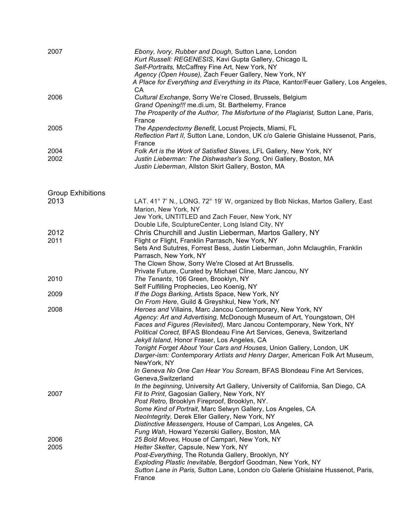| 2007                     | Ebony, Ivory, Rubber and Dough, Sutton Lane, London<br>Kurt Russell: REGENESIS, Kavi Gupta Gallery, Chicago IL<br>Self-Portraits, McCaffrey Fine Art, New York, NY<br>Agency (Open House), Zach Feuer Gallery, New York, NY<br>A Place for Everything and Everything in its Place, Kantor/Feuer Gallery, Los Angeles,<br>CA                                                                                                                                                                                                                                                                                    |
|--------------------------|----------------------------------------------------------------------------------------------------------------------------------------------------------------------------------------------------------------------------------------------------------------------------------------------------------------------------------------------------------------------------------------------------------------------------------------------------------------------------------------------------------------------------------------------------------------------------------------------------------------|
| 2006                     | Cultural Exchange, Sorry We're Closed, Brussels, Belgium<br>Grand Opening!!! me.di.um, St. Barthelemy, France<br>The Prosperity of the Author, The Misfortune of the Plagiarist, Sutton Lane, Paris,<br>France                                                                                                                                                                                                                                                                                                                                                                                                 |
| 2005                     | The Appendectomy Benefit, Locust Projects, Miami, FL<br>Reflection Part II, Sutton Lane, London, UK c/o Galerie Ghislaine Hussenot, Paris,<br>France                                                                                                                                                                                                                                                                                                                                                                                                                                                           |
| 2004<br>2002             | Folk Art is the Work of Satisfied Slaves, LFL Gallery, New York, NY<br>Justin Lieberman: The Dishwasher's Song, Oni Gallery, Boston, MA<br>Justin Lieberman, Allston Skirt Gallery, Boston, MA                                                                                                                                                                                                                                                                                                                                                                                                                 |
| <b>Group Exhibitions</b> |                                                                                                                                                                                                                                                                                                                                                                                                                                                                                                                                                                                                                |
| 2013                     | LAT. 41° 7' N., LONG. 72° 19' W, organized by Bob Nickas, Martos Gallery, East<br>Marion, New York, NY<br>Jew York, UNTITLED and Zach Feuer, New York, NY<br>Double Life, SculptureCenter, Long Island City, NY                                                                                                                                                                                                                                                                                                                                                                                                |
| 2012                     | Chris Churchill and Justin Lieberman, Martos Gallery, NY                                                                                                                                                                                                                                                                                                                                                                                                                                                                                                                                                       |
| 2011                     | Flight or Flight, Franklin Parrasch, New York, NY<br>Sets And Sututres, Forrest Bess, Justin Lieberman, John Mclaughlin, Franklin<br>Parrasch, New York, NY<br>The Clown Show, Sorry We're Closed at Art Brussells.<br>Private Future, Curated by Michael Cline, Marc Jancou, NY                                                                                                                                                                                                                                                                                                                               |
| 2010                     | The Tenants, 106 Green, Brooklyn, NY<br>Self Fulfilling Prophecies, Leo Koenig, NY                                                                                                                                                                                                                                                                                                                                                                                                                                                                                                                             |
| 2009                     | If the Dogs Barking, Artists Space, New York, NY<br>On From Here, Guild & Greyshkul, New York, NY                                                                                                                                                                                                                                                                                                                                                                                                                                                                                                              |
| 2008                     | Heroes and Villains, Marc Jancou Contemporary, New York, NY<br>Agency: Art and Advertising, McDonough Museum of Art, Youngstown, OH<br>Faces and Figures (Revisited), Marc Jancou Contemporary, New York, NY<br>Political Corect, BFAS Blondeau Fine Art Services, Geneva, Switzerland<br>Jekyll Island, Honor Fraser, Los Angeles, CA<br>Tonight Forget About Your Cars and Houses, Union Gallery, London, UK<br>Darger-ism: Contemporary Artists and Henry Darger, American Folk Art Museum,<br>NewYork, NY<br>In Geneva No One Can Hear You Scream, BFAS Blondeau Fine Art Services,<br>Geneva, Switzerland |
| 2007                     | In the beginning, University Art Gallery, University of California, San Diego, CA<br>Fit to Print, Gagosian Gallery, New York, NY<br>Post Retro, Brooklyn Fireproof, Brooklyn, NY.<br>Some Kind of Portrait, Marc Selwyn Gallery, Los Angeles, CA<br>NeoIntegrity, Derek Eller Gallery, New York, NY<br>Distinctive Messengers, House of Campari, Los Angeles, CA<br>Fung Wah, Howard Yezerski Gallery, Boston, MA                                                                                                                                                                                             |
| 2006<br>2005             | 25 Bold Moves, House of Campari, New York, NY<br>Helter Skelter, Capsule, New York, NY<br>Post-Everything, The Rotunda Gallery, Brooklyn, NY<br>Exploding Plastic Inevitable, Bergdorf Goodman, New York, NY<br>Sutton Lane in Paris, Sutton Lane, London c/o Galerie Ghislaine Hussenot, Paris,<br>France                                                                                                                                                                                                                                                                                                     |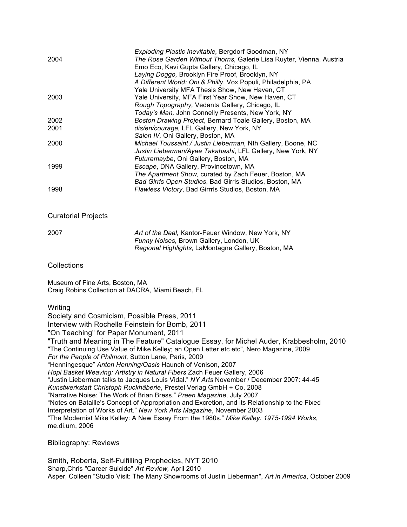|      | Exploding Plastic Inevitable, Bergdorf Goodman, NY                   |
|------|----------------------------------------------------------------------|
| 2004 | The Rose Garden Without Thorns, Galerie Lisa Ruyter, Vienna, Austria |
|      | Emo Eco, Kavi Gupta Gallery, Chicago, IL                             |
|      | Laying Doggo, Brooklyn Fire Proof, Brooklyn, NY                      |
|      | A Different World: Oni & Philly, Vox Populi, Philadelphia, PA        |
|      | Yale University MFA Thesis Show, New Haven, CT                       |
| 2003 | Yale University, MFA First Year Show, New Haven, CT                  |
|      | Rough Topography, Vedanta Gallery, Chicago, IL                       |
|      | Today's Man, John Connelly Presents, New York, NY                    |
| 2002 | Boston Drawing Project, Bernard Toale Gallery, Boston, MA            |
| 2001 | dis/en/courage, LFL Gallery, New York, NY                            |
|      | Salon IV, Oni Gallery, Boston, MA                                    |
| 2000 | Michael Toussaint / Justin Lieberman, Nth Gallery, Boone, NC         |
|      | Justin Lieberman/Ayae Takahashi, LFL Gallery, New York, NY           |
|      | Futuremaybe, Oni Gallery, Boston, MA                                 |
| 1999 | Escape, DNA Gallery, Provincetown, MA                                |
|      | The Apartment Show, curated by Zach Feuer, Boston, MA                |
|      | Bad Girrls Open Studios, Bad Girrls Studios, Boston, MA              |
| 1998 | Flawless Victory, Bad Girrrls Studios, Boston, MA                    |
|      |                                                                      |

## Curatorial Projects

| 2007 | Art of the Deal, Kantor-Feuer Window, New York, NY  |
|------|-----------------------------------------------------|
|      | <i>Funny Noises, Brown Gallery, London, UK</i>      |
|      | Regional Highlights, LaMontagne Gallery, Boston, MA |

## **Collections**

Museum of Fine Arts, Boston, MA Craig Robins Collection at DACRA, Miami Beach, FL

**Writing** 

Society and Cosmicism, Possible Press, 2011

Interview with Rochelle Feinstein for Bomb, 2011

"On Teaching" for Paper Monument, 2011

"Truth and Meaning in The Feature" Catalogue Essay, for Michel Auder, Krabbesholm, 2010 "The Continuing Use Value of Mike Kelley; an Open Letter etc etc", Nero Magazine, 2009 *For the People of Philmont,* Sutton Lane, Paris, 2009 "Henningesque" *Anton Henning/Oasis* Haunch of Venison, 2007 *Hopi Basket Weaving: Artistry in Natural Fibers* Zach Feuer Gallery, 2006 "Justin Lieberman talks to Jacques Louis Vidal." *NY Arts* November / December 2007: 44-45 *Kunstwerkstatt Christoph Ruckhäberle*, Prestel Verlag GmbH + Co, 2008

"Narrative Noise: The Work of Brian Bress." *Preen Magazine*, July 2007

"Notes on Bataille's Concept of Appropriation and Excretion, and its Relationship to the Fixed Interpretation of Works of Art." *New York Arts Magazine*, November 2003 "The Modernist Mike Kelley: A New Essay From the 1980s." *Mike Kelley: 1975-1994 Works*, me.di.um, 2006

Bibliography: Reviews

Smith, Roberta, Self-Fulfilling Prophecies, NYT 2010 Sharp,Chris "Career Suicide" *Art Review,* April 2010 Asper, Colleen "Studio Visit: The Many Showrooms of Justin Lieberman", *Art in America*, October 2009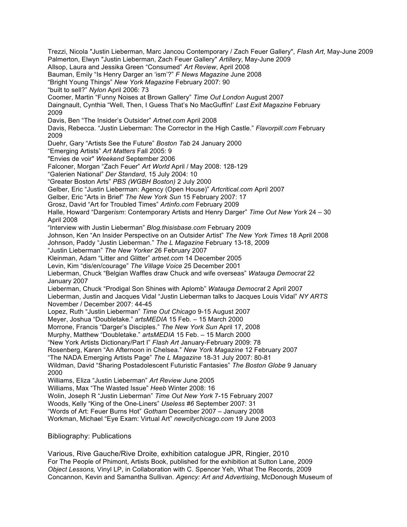Trezzi, Nicola "Justin Lieberman, Marc Jancou Contemporary / Zach Feuer Gallery", *Flash Art*, May-June 2009 Palmerton, Elwyn "Justin Lieberman, Zach Feuer Gallery" *Artillery*, May-June 2009 Allsop, Laura and Jessika Green "Consumed" *Art Review*, April 2008 Bauman, Emily "Is Henry Darger an 'ism'?" *F News Magazine* June 2008 "Bright Young Things" *New York Magazine* February 2007: 90 "built to sell?" *Nylon* April 2006: 73 Coomer, Martin "Funny Noises at Brown Gallery" *Time Out London* August 2007 Daingnault, Cynthia "Well, Then, I Guess That's No MacGuffin!' *Last Exit Magazine* February 2009 Davis, Ben "The Insider's Outsider" *Artnet.com* April 2008 Davis, Rebecca. "Justin Lieberman: The Corrector in the High Castle." *Flavorpill.com* February 2009 Duehr, Gary "Artists See the Future" *Boston Tab* 24 January 2000 "Emerging Artists" *Art Matters* Fall 2005: 9 "Envies de voir" *Weekend* September 2006 Falconer, Morgan "Zach Feuer" *Art World* April / May 2008: 128-129 "Galerien National" *Der Standard*, 15 July 2004: 10 "Greater Boston Arts" *PBS (WGBH Boston)* 2 July 2000 Gelber, Eric "Justin Lieberman: Agency (Open House)" *Artcritical.com* April 2007 Gelber, Eric "Arts in Brief" *The New York Sun* 15 February 2007: 17 Grosz, David "Art for Troubled Times" *Artinfo.com* February 2009 Halle, Howard "Darger*ism*: Contemporary Artists and Henry Darger" *Time Out New York* 24 – 30 April 2008 "Interview with Justin Lieberman" *Blog.thisisbase.com* February 2009 Johnson, Ken "An Insider Perspective on an Outsider Artist" *The New York Times* 18 April 2008 Johnson, Paddy "Justin Lieberman." *The L Magazine* February 13-18, 2009 "Justin Lieberman" *The New Yorker* 26 February 2007 Kleinman, Adam "Litter and Glitter" *artnet.com* 14 December 2005 Levin, Kim "dis/en/courage" *The Village Voice* 25 December 2001 Lieberman, Chuck "Belgian Waffles draw Chuck and wife overseas" *Watauga Democrat* 22 January 2007 Lieberman, Chuck "Prodigal Son Shines with Aplomb" *Watauga Democrat* 2 April 2007 Lieberman, Justin and Jacques Vidal "Justin Lieberman talks to Jacques Louis Vidal" *NY ARTS* November / December 2007: 44-45 Lopez, Ruth "Justin Lieberman" *Time Out Chicago* 9-15 August 2007 Meyer, Joshua "Doubletake." *artsMEDIA* 15 Feb. – 15 March 2000 Morrone, Francis "Darger's Disciples." *The New York Sun* April 17, 2008 Murphy, Matthew "Doubletake." *artsMEDIA* 15 Feb. – 15 March 2000 "New York Artists Dictionary/Part I" *Flash Art* January-February 2009: 78 Rosenberg, Karen "An Afternoon in Chelsea." *New York Magazine* 12 February 2007 "The NADA Emerging Artists Page" *The L Magazine* 18-31 July 2007: 80-81 Wildman, David "Sharing Postadolescent Futuristic Fantasies" *The Boston Globe* 9 January 2000 Williams, Eliza "Justin Lieberman" *Art Review* June 2005 Williams, Max "The Wasted Issue" *Heeb* Winter 2008: 16 Wolin, Joseph R "Justin Lieberman" *Time Out New York* 7-15 February 2007 Woods, Kelly "King of the One-Liners" *Useless #6* September 2007: 31 "Words of Art: Feuer Burns Hot" *Gotham* December 2007 – January 2008 Workman, Michael "Eye Exam: Virtual Art" *newcitychicago.com* 19 June 2003

Bibliography: Publications

Various, Rive Gauche/Rive Droite, exhibition catalogue JPR, Ringier, 2010 For The People of Phimont, Artists Book, published for the exhibition at Sutton Lane, 2009 *Object Lessons,* Vinyl LP, in Collaboration with C. Spencer Yeh, What The Records, 2009 Concannon, Kevin and Samantha Sullivan. *Agency: Art and Advertising*, McDonough Museum of